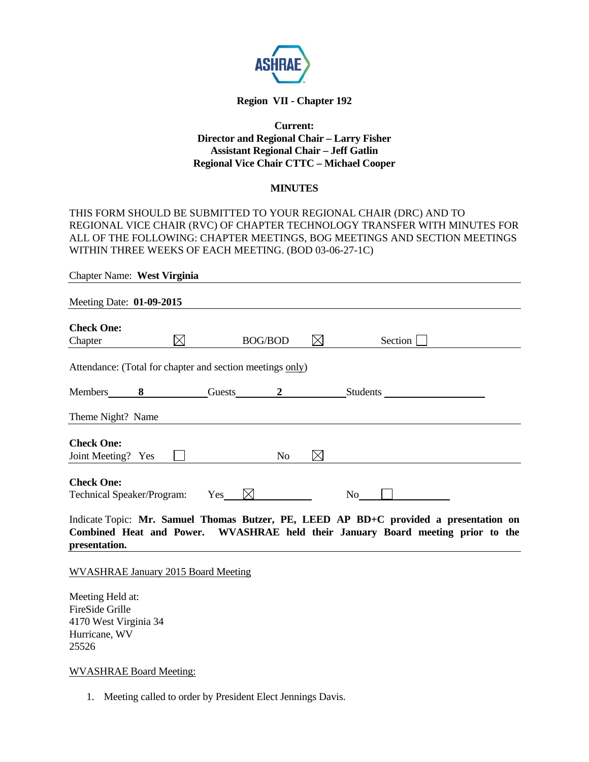

# **Region VII - Chapter 192**

### **Current: Director and Regional Chair – Larry Fisher Assistant Regional Chair – Jeff Gatlin Regional Vice Chair CTTC – Michael Cooper**

#### **MINUTES**

THIS FORM SHOULD BE SUBMITTED TO YOUR REGIONAL CHAIR (DRC) AND TO REGIONAL VICE CHAIR (RVC) OF CHAPTER TECHNOLOGY TRANSFER WITH MINUTES FOR ALL OF THE FOLLOWING: CHAPTER MEETINGS, BOG MEETINGS AND SECTION MEETINGS WITHIN THREE WEEKS OF EACH MEETING. (BOD 03-06-27-1C)

| Chapter Name: West Virginia                               |           |                 |                |           |                                                                                                                                                                          |  |
|-----------------------------------------------------------|-----------|-----------------|----------------|-----------|--------------------------------------------------------------------------------------------------------------------------------------------------------------------------|--|
| Meeting Date: 01-09-2015                                  |           |                 |                |           |                                                                                                                                                                          |  |
| <b>Check One:</b><br>Chapter                              | $\bowtie$ |                 | <b>BOG/BOD</b> | $\bowtie$ | Section                                                                                                                                                                  |  |
| Attendance: (Total for chapter and section meetings only) |           |                 |                |           |                                                                                                                                                                          |  |
| Members 8                                                 |           |                 |                |           | Guests 2 Students                                                                                                                                                        |  |
| Theme Night? Name                                         |           |                 |                |           |                                                                                                                                                                          |  |
| <b>Check One:</b><br>Joint Meeting? Yes                   |           |                 | N <sub>o</sub> | $\bowtie$ |                                                                                                                                                                          |  |
| <b>Check One:</b><br>Technical Speaker/Program:           |           | Yes $\boxtimes$ |                |           | No                                                                                                                                                                       |  |
|                                                           |           |                 |                |           | Indicate Topic: Mr. Samuel Thomas Butzer, PE, LEED AP BD+C provided a presentation on<br>Combined Heat and Power. WVASHRAE held their January Board meeting prior to the |  |

**presentation.** 

WVASHRAE January 2015 Board Meeting

Meeting Held at: FireSide Grille 4170 West Virginia 34 Hurricane, WV 25526

WVASHRAE Board Meeting:

1. Meeting called to order by President Elect Jennings Davis.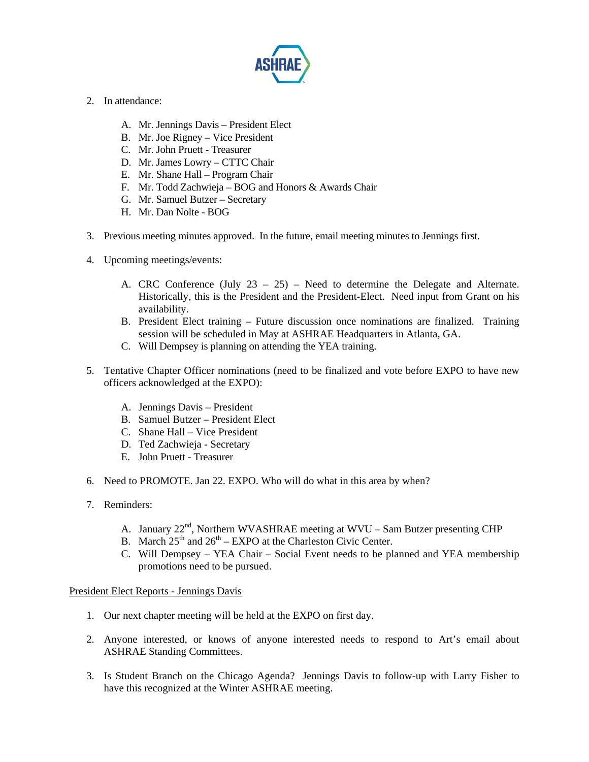

- 2. In attendance:
	- A. Mr. Jennings Davis President Elect
	- B. Mr. Joe Rigney Vice President
	- C. Mr. John Pruett Treasurer
	- D. Mr. James Lowry CTTC Chair
	- E. Mr. Shane Hall Program Chair
	- F. Mr. Todd Zachwieja BOG and Honors & Awards Chair
	- G. Mr. Samuel Butzer Secretary
	- H. Mr. Dan Nolte BOG
- 3. Previous meeting minutes approved. In the future, email meeting minutes to Jennings first.
- 4. Upcoming meetings/events:
	- A. CRC Conference (July  $23 25$ ) Need to determine the Delegate and Alternate. Historically, this is the President and the President-Elect. Need input from Grant on his availability.
	- B. President Elect training Future discussion once nominations are finalized. Training session will be scheduled in May at ASHRAE Headquarters in Atlanta, GA.
	- C. Will Dempsey is planning on attending the YEA training.
- 5. Tentative Chapter Officer nominations (need to be finalized and vote before EXPO to have new officers acknowledged at the EXPO):
	- A. Jennings Davis President
	- B. Samuel Butzer President Elect
	- C. Shane Hall Vice President
	- D. Ted Zachwieja Secretary
	- E. John Pruett Treasurer
- 6. Need to PROMOTE. Jan 22. EXPO. Who will do what in this area by when?
- 7. Reminders:
	- A. January 22<sup>nd</sup>, Northern WVASHRAE meeting at WVU Sam Butzer presenting CHP
	- B. March  $25^{th}$  and  $26^{th}$  EXPO at the Charleston Civic Center.
	- C. Will Dempsey YEA Chair Social Event needs to be planned and YEA membership promotions need to be pursued.

### President Elect Reports - Jennings Davis

- 1. Our next chapter meeting will be held at the EXPO on first day.
- 2. Anyone interested, or knows of anyone interested needs to respond to Art's email about ASHRAE Standing Committees.
- 3. Is Student Branch on the Chicago Agenda? Jennings Davis to follow-up with Larry Fisher to have this recognized at the Winter ASHRAE meeting.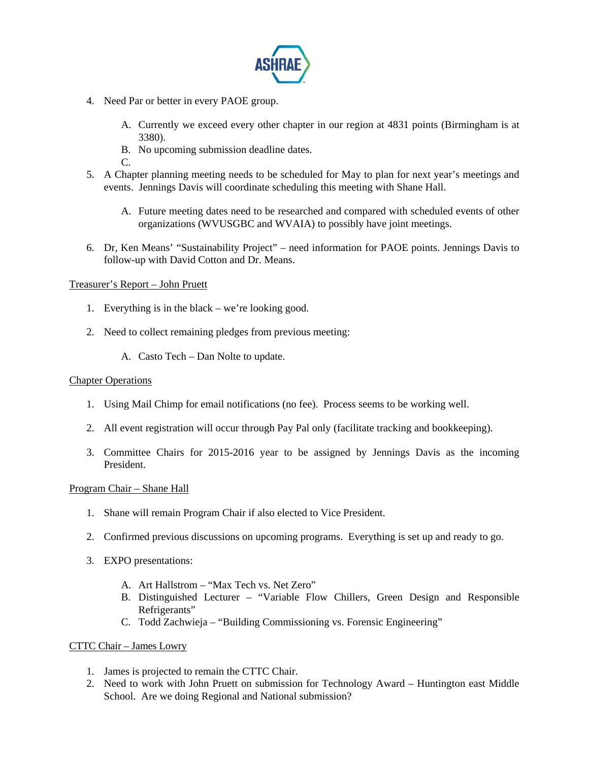

- 4. Need Par or better in every PAOE group.
	- A. Currently we exceed every other chapter in our region at 4831 points (Birmingham is at 3380).
	- B. No upcoming submission deadline dates.
	- C.
- 5. A Chapter planning meeting needs to be scheduled for May to plan for next year's meetings and events. Jennings Davis will coordinate scheduling this meeting with Shane Hall.
	- A. Future meeting dates need to be researched and compared with scheduled events of other organizations (WVUSGBC and WVAIA) to possibly have joint meetings.
- 6. Dr, Ken Means' "Sustainability Project" need information for PAOE points. Jennings Davis to follow-up with David Cotton and Dr. Means.

## Treasurer's Report – John Pruett

- 1. Everything is in the black we're looking good.
- 2. Need to collect remaining pledges from previous meeting:
	- A. Casto Tech Dan Nolte to update.

### Chapter Operations

- 1. Using Mail Chimp for email notifications (no fee). Process seems to be working well.
- 2. All event registration will occur through Pay Pal only (facilitate tracking and bookkeeping).
- 3. Committee Chairs for 2015-2016 year to be assigned by Jennings Davis as the incoming President.

### Program Chair – Shane Hall

- 1. Shane will remain Program Chair if also elected to Vice President.
- 2. Confirmed previous discussions on upcoming programs. Everything is set up and ready to go.
- 3. EXPO presentations:
	- A. Art Hallstrom "Max Tech vs. Net Zero"
	- B. Distinguished Lecturer "Variable Flow Chillers, Green Design and Responsible Refrigerants"
	- C. Todd Zachwieja "Building Commissioning vs. Forensic Engineering"

### CTTC Chair – James Lowry

- 1. James is projected to remain the CTTC Chair.
- 2. Need to work with John Pruett on submission for Technology Award Huntington east Middle School. Are we doing Regional and National submission?